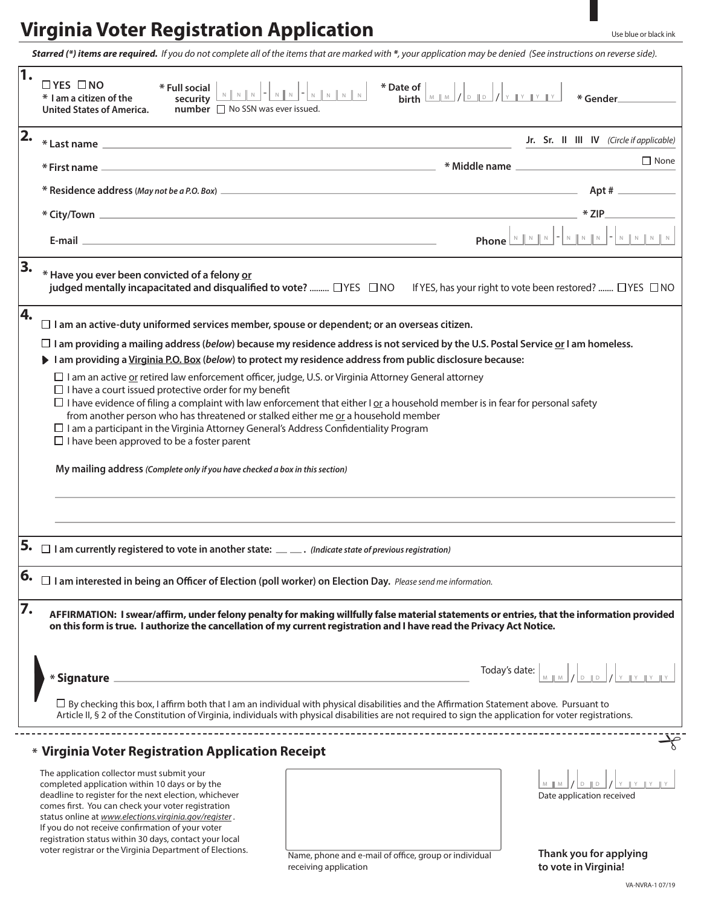## **Virginia Voter Registration Application**

*Starred (\*) items are required. If you do not complete all of the items that are marked with \*, your application may be denied (See instructions on reverse side).*

|                  | $\Box$ YES $\Box$ NO<br>* Date of  <br>* Full social<br>ate or $\left[\begin{array}{c c} \mathsf{M} & \mathsf{M} & \mathsf{M} \end{array}\right]$ / $\left[\begin{array}{c c} \mathsf{M} & \mathsf{M} & \mathsf{M} \end{array}\right]$ / $\left[\begin{array}{c c} \mathsf{M} & \mathsf{M} & \mathsf{M} \end{array}\right]$<br>* I am a citizen of the<br>security<br>number □ No SSN was ever issued.<br><b>United States of America.</b> |  |  |
|------------------|--------------------------------------------------------------------------------------------------------------------------------------------------------------------------------------------------------------------------------------------------------------------------------------------------------------------------------------------------------------------------------------------------------------------------------------------|--|--|
| 2.               | Jr. Sr. II III IV (Circle if applicable)                                                                                                                                                                                                                                                                                                                                                                                                   |  |  |
|                  | $\Box$ None                                                                                                                                                                                                                                                                                                                                                                                                                                |  |  |
|                  |                                                                                                                                                                                                                                                                                                                                                                                                                                            |  |  |
|                  | $*$ ZIP $\_\_$                                                                                                                                                                                                                                                                                                                                                                                                                             |  |  |
|                  | E-mail entry and the contract of the contract of the contract of the contract of the contract of the contract of the contract of the contract of the contract of the contract of the contract of the contract of the contract                                                                                                                                                                                                              |  |  |
| 3.               | * Have you ever been convicted of a felony or<br>judged mentally incapacitated and disqualified to vote?  [ YES INO If YES, has your right to vote been restored?  [ YES INO                                                                                                                                                                                                                                                               |  |  |
| 4.               | $\Box$ I am an active-duty uniformed services member, spouse or dependent; or an overseas citizen.                                                                                                                                                                                                                                                                                                                                         |  |  |
|                  | $\Box$ I am providing a mailing address (below) because my residence address is not serviced by the U.S. Postal Service or I am homeless.                                                                                                                                                                                                                                                                                                  |  |  |
|                  | I am providing a Virginia P.O. Box (below) to protect my residence address from public disclosure because:                                                                                                                                                                                                                                                                                                                                 |  |  |
|                  | $\Box$ I am an active <u>or</u> retired law enforcement officer, judge, U.S. or Virginia Attorney General attorney<br>$\Box$ I have a court issued protective order for my benefit                                                                                                                                                                                                                                                         |  |  |
|                  | $\Box$ I have evidence of filing a complaint with law enforcement that either I or a household member is in fear for personal safety<br>from another person who has threatened or stalked either me or a household member                                                                                                                                                                                                                  |  |  |
|                  | $\Box$ I am a participant in the Virginia Attorney General's Address Confidentiality Program<br>$\Box$ I have been approved to be a foster parent                                                                                                                                                                                                                                                                                          |  |  |
|                  |                                                                                                                                                                                                                                                                                                                                                                                                                                            |  |  |
|                  | My mailing address (Complete only if you have checked a box in this section)                                                                                                                                                                                                                                                                                                                                                               |  |  |
|                  |                                                                                                                                                                                                                                                                                                                                                                                                                                            |  |  |
|                  |                                                                                                                                                                                                                                                                                                                                                                                                                                            |  |  |
|                  | 5. $\Box$ I am currently registered to vote in another state: $\_\_\_\_$ . (Indicate state of previous registration)                                                                                                                                                                                                                                                                                                                       |  |  |
| $\epsilon$<br>Ο, | $\Box$ I am interested in being an Officer of Election (poll worker) on Election Day. Please send me information.                                                                                                                                                                                                                                                                                                                          |  |  |
| 7.               | AFFIRMATION: I swear/affirm, under felony penalty for making willfully false material statements or entries, that the information provided<br>on this form is true. I authorize the cancellation of my current registration and I have read the Privacy Act Notice.                                                                                                                                                                        |  |  |
|                  | Today's date: $\left  \begin{array}{c} \mathbb{R} \\ \mathbb{R} \\ \mathbb{R} \end{array} \right  \times \left  \begin{array}{c} \mathbb{R} \\ \mathbb{R} \\ \mathbb{R} \end{array} \right  \times \left  \begin{array}{c} \mathbb{R} \\ \mathbb{R} \\ \mathbb{R} \end{array} \right  \times \left  \begin{array}{c} \mathbb{R} \\ \mathbb{R} \\ \mathbb{R} \end{array} \right $<br>* Signature                                            |  |  |
|                  | $\Box$ By checking this box, I affirm both that I am an individual with physical disabilities and the Affirmation Statement above. Pursuant to<br>Article II, § 2 of the Constitution of Virginia, individuals with physical disabilities are not required to sign the application for voter registrations.                                                                                                                                |  |  |
|                  | * Virginia Voter Registration Application Receipt                                                                                                                                                                                                                                                                                                                                                                                          |  |  |
|                  | The application collector must submit your<br>$M \parallel M \parallel / \parallel D \parallel D$<br>completed application within 10 days or by the<br>deadline to register for the next election, whichever<br>Date application received<br>comes first. You can check your voter registration<br>status online at www.elections.virginia.gov/register.<br>If you do not receive confirmation of your voter                               |  |  |
|                  | registration status within 30 days, contact your local<br>voter registrar or the Virginia Department of Elections.<br>Thank you for applying<br>Name, phone and e-mail of office, group or individual                                                                                                                                                                                                                                      |  |  |

receiving application

VA-NVRA-1 07/19